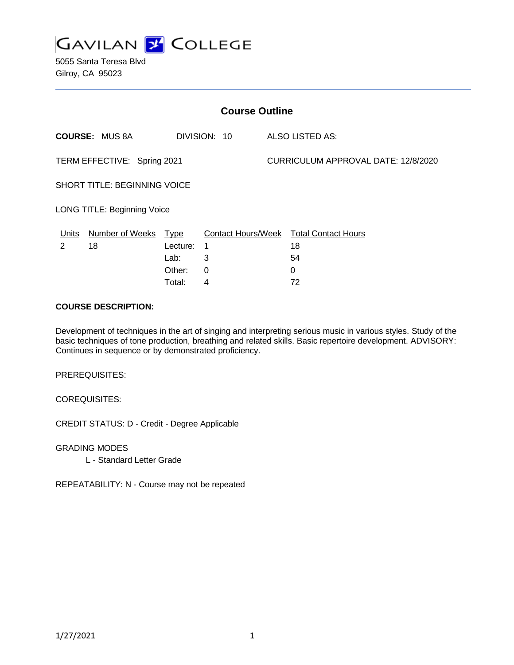

5055 Santa Teresa Blvd Gilroy, CA 95023

| <b>Course Outline</b>              |                        |             |              |                                     |                                               |
|------------------------------------|------------------------|-------------|--------------|-------------------------------------|-----------------------------------------------|
|                                    | <b>COURSE: MUS 8A</b>  |             | DIVISION: 10 |                                     | ALSO LISTED AS:                               |
| TERM EFFECTIVE: Spring 2021        |                        |             |              | CURRICULUM APPROVAL DATE: 12/8/2020 |                                               |
| SHORT TITLE: BEGINNING VOICE       |                        |             |              |                                     |                                               |
| <b>LONG TITLE: Beginning Voice</b> |                        |             |              |                                     |                                               |
| Units                              | <b>Number of Weeks</b> | <u>Type</u> |              |                                     | <b>Contact Hours/Week Total Contact Hours</b> |
| 2                                  | 18                     | Lecture:    | 1            |                                     | 18                                            |
|                                    |                        | Lab:        | 3            |                                     | 54                                            |
|                                    |                        | Other:      | 0            |                                     | $\Omega$                                      |
|                                    |                        | Total:      | 4            |                                     | 72                                            |

#### **COURSE DESCRIPTION:**

Development of techniques in the art of singing and interpreting serious music in various styles. Study of the basic techniques of tone production, breathing and related skills. Basic repertoire development. ADVISORY: Continues in sequence or by demonstrated proficiency.

PREREQUISITES:

COREQUISITES:

CREDIT STATUS: D - Credit - Degree Applicable

GRADING MODES

L - Standard Letter Grade

REPEATABILITY: N - Course may not be repeated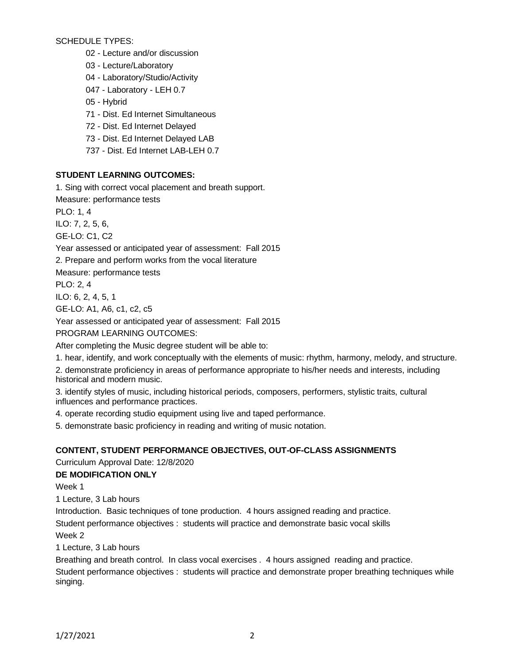SCHEDULE TYPES:

02 - Lecture and/or discussion

03 - Lecture/Laboratory

04 - Laboratory/Studio/Activity

047 - Laboratory - LEH 0.7

05 - Hybrid

71 - Dist. Ed Internet Simultaneous

72 - Dist. Ed Internet Delayed

73 - Dist. Ed Internet Delayed LAB

737 - Dist. Ed Internet LAB-LEH 0.7

## **STUDENT LEARNING OUTCOMES:**

1. Sing with correct vocal placement and breath support.

Measure: performance tests

PLO: 1, 4

ILO: 7, 2, 5, 6,

GE-LO: C1, C2

Year assessed or anticipated year of assessment: Fall 2015

2. Prepare and perform works from the vocal literature

Measure: performance tests

PLO: 2, 4

ILO: 6, 2, 4, 5, 1

GE-LO: A1, A6, c1, c2, c5

Year assessed or anticipated year of assessment: Fall 2015

PROGRAM LEARNING OUTCOMES:

After completing the Music degree student will be able to:

1. hear, identify, and work conceptually with the elements of music: rhythm, harmony, melody, and structure.

2. demonstrate proficiency in areas of performance appropriate to his/her needs and interests, including historical and modern music.

3. identify styles of music, including historical periods, composers, performers, stylistic traits, cultural influences and performance practices.

4. operate recording studio equipment using live and taped performance.

5. demonstrate basic proficiency in reading and writing of music notation.

# **CONTENT, STUDENT PERFORMANCE OBJECTIVES, OUT-OF-CLASS ASSIGNMENTS**

Curriculum Approval Date: 12/8/2020

# **DE MODIFICATION ONLY**

Week 1

1 Lecture, 3 Lab hours

Introduction. Basic techniques of tone production. 4 hours assigned reading and practice.

Student performance objectives : students will practice and demonstrate basic vocal skills

Week 2

1 Lecture, 3 Lab hours

Breathing and breath control. In class vocal exercises . 4 hours assigned reading and practice. Student performance objectives : students will practice and demonstrate proper breathing techniques while singing.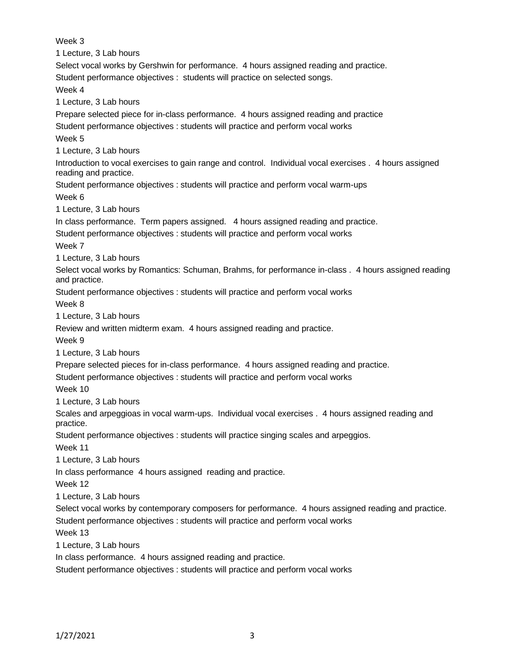Week 3 1 Lecture, 3 Lab hours Select vocal works by Gershwin for performance. 4 hours assigned reading and practice. Student performance objectives : students will practice on selected songs. Week 4 1 Lecture, 3 Lab hours Prepare selected piece for in-class performance. 4 hours assigned reading and practice Student performance objectives : students will practice and perform vocal works Week 5 1 Lecture, 3 Lab hours Introduction to vocal exercises to gain range and control. Individual vocal exercises . 4 hours assigned reading and practice. Student performance objectives : students will practice and perform vocal warm-ups Week 6 1 Lecture, 3 Lab hours In class performance. Term papers assigned. 4 hours assigned reading and practice. Student performance objectives : students will practice and perform vocal works Week 7 1 Lecture, 3 Lab hours Select vocal works by Romantics: Schuman, Brahms, for performance in-class . 4 hours assigned reading and practice. Student performance objectives : students will practice and perform vocal works Week 8 1 Lecture, 3 Lab hours Review and written midterm exam. 4 hours assigned reading and practice. Week 9 1 Lecture, 3 Lab hours Prepare selected pieces for in-class performance. 4 hours assigned reading and practice. Student performance objectives : students will practice and perform vocal works Week 10 1 Lecture, 3 Lab hours Scales and arpeggioas in vocal warm-ups. Individual vocal exercises . 4 hours assigned reading and practice. Student performance objectives : students will practice singing scales and arpeggios. Week 11 1 Lecture, 3 Lab hours In class performance 4 hours assigned reading and practice. Week 12 1 Lecture, 3 Lab hours Select vocal works by contemporary composers for performance. 4 hours assigned reading and practice. Student performance objectives : students will practice and perform vocal works Week 13 1 Lecture, 3 Lab hours In class performance. 4 hours assigned reading and practice. Student performance objectives : students will practice and perform vocal works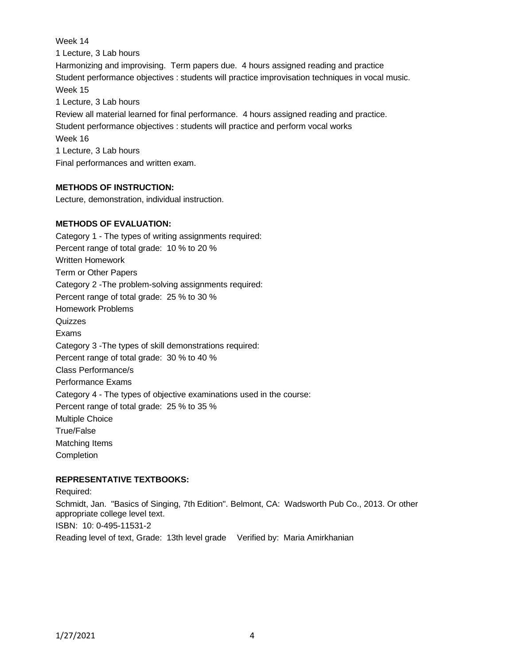Week 14 1 Lecture, 3 Lab hours Harmonizing and improvising. Term papers due. 4 hours assigned reading and practice Student performance objectives : students will practice improvisation techniques in vocal music. Week 15 1 Lecture, 3 Lab hours Review all material learned for final performance. 4 hours assigned reading and practice. Student performance objectives : students will practice and perform vocal works Week 16 1 Lecture, 3 Lab hours Final performances and written exam.

# **METHODS OF INSTRUCTION:**

Lecture, demonstration, individual instruction.

### **METHODS OF EVALUATION:**

Category 1 - The types of writing assignments required: Percent range of total grade: 10 % to 20 % Written Homework Term or Other Papers Category 2 -The problem-solving assignments required: Percent range of total grade: 25 % to 30 % Homework Problems **Quizzes** Exams Category 3 -The types of skill demonstrations required: Percent range of total grade: 30 % to 40 % Class Performance/s Performance Exams Category 4 - The types of objective examinations used in the course: Percent range of total grade: 25 % to 35 % Multiple Choice True/False Matching Items **Completion** 

### **REPRESENTATIVE TEXTBOOKS:**

Required: Schmidt, Jan. "Basics of Singing, 7th Edition". Belmont, CA: Wadsworth Pub Co., 2013. Or other appropriate college level text.

ISBN: 10: 0-495-11531-2

Reading level of text, Grade: 13th level grade Verified by: Maria Amirkhanian